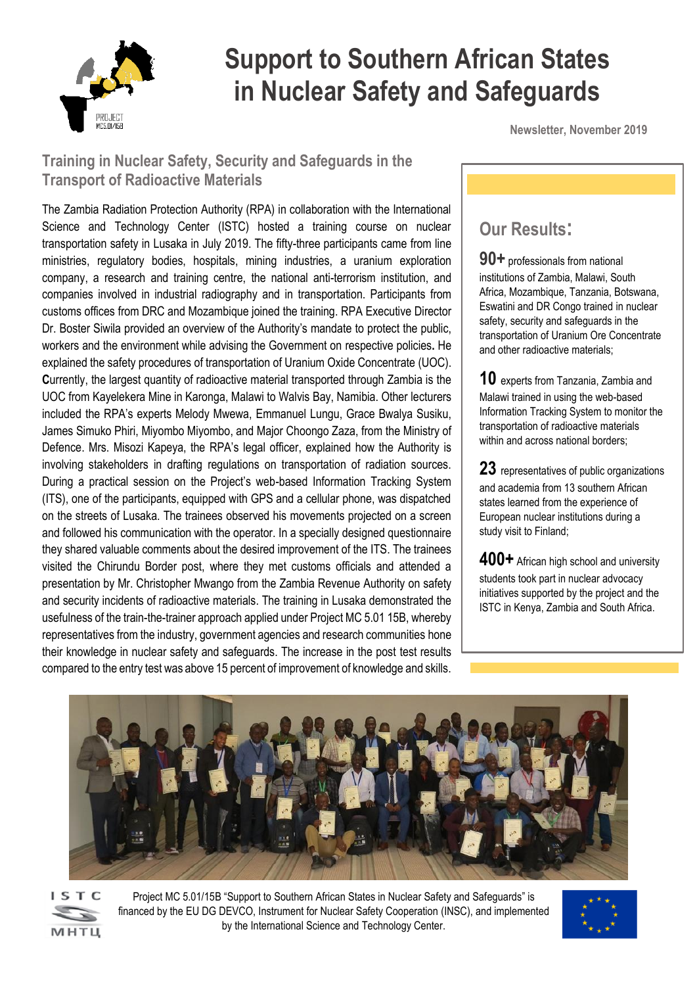

# **Support to Southern African States in Nuclear Safety and Safeguards**

**Newsletter, November 2019**

## **Training in Nuclear Safety, Security and Safeguards in the Transport of Radioactive Materials**

The Zambia Radiation Protection Authority (RPA) in collaboration with the International Science and Technology Center (ISTC) hosted a training course on nuclear transportation safety in Lusaka in July 2019. The fifty-three participants came from line ministries, regulatory bodies, hospitals, mining industries, a uranium exploration company, a research and training centre, the national anti-terrorism institution, and companies involved in industrial radiography and in transportation. Participants from customs offices from DRC and Mozambique joined the training. RPA Executive Director Dr. Boster Siwila provided an overview of the Authority's mandate to protect the public, workers and the environment while advising the Government on respective policies**.** He explained the safety procedures of transportation of Uranium Oxide Concentrate (UOC). **C**urrently, the largest quantity of radioactive material transported through Zambia is the UOC from Kayelekera Mine in Karonga, Malawi to Walvis Bay, Namibia. Other lecturers included the RPA's experts Melody Mwewa, Emmanuel Lungu, Grace Bwalya Susiku, James Simuko Phiri, Miyombo Miyombo, and Major Choongo Zaza, from the Ministry of Defence. Mrs. Misozi Kapeya, the RPA's legal officer, explained how the Authority is involving stakeholders in drafting regulations on transportation of radiation sources. During a practical session on the Project's web-based Information Tracking System (ITS), one of the participants, equipped with GPS and a cellular phone, was dispatched on the streets of Lusaka. The trainees observed his movements projected on a screen and followed his communication with the operator. In a specially designed questionnaire they shared valuable comments about the desired improvement of the ITS. The trainees visited the Chirundu Border post, where they met customs officials and attended a presentation by Mr. Christopher Mwango from the Zambia Revenue Authority on safety and security incidents of radioactive materials. The training in Lusaka demonstrated the usefulness of the train-the-trainer approach applied under Project MC 5.01 15B, whereby representatives from the industry, government agencies and research communities hone their knowledge in nuclear safety and safeguards. The increase in the post test results compared to the entry test was above 15 percent of improvement of knowledge and skills.

## **Our Results:**

**90+** professionals from national institutions of Zambia, Malawi, South Africa, Mozambique, Tanzania, Botswana, Eswatini and DR Congo trained in nuclear safety, security and safeguards in the transportation of Uranium Ore Concentrate and other radioactive materials;

**10** experts from Tanzania, Zambia and Malawi trained in using the web-based Information Tracking System to monitor the transportation of radioactive materials within and across national borders;

**23** representatives of public organizations and academia from 13 southern African states learned from the experience of European nuclear institutions during a study visit to Finland;

**400+** African high school and university students took part in nuclear advocacy initiatives supported by the project and the ISTC in Kenya, Zambia and South Africa.





Project MC 5.01/15B "Support to Southern African States in Nuclear Safety and Safeguards" is financed by the EU DG DEVCO, Instrument for Nuclear Safety Cooperation (INSC), and implemented by the International Science and Technology Center.

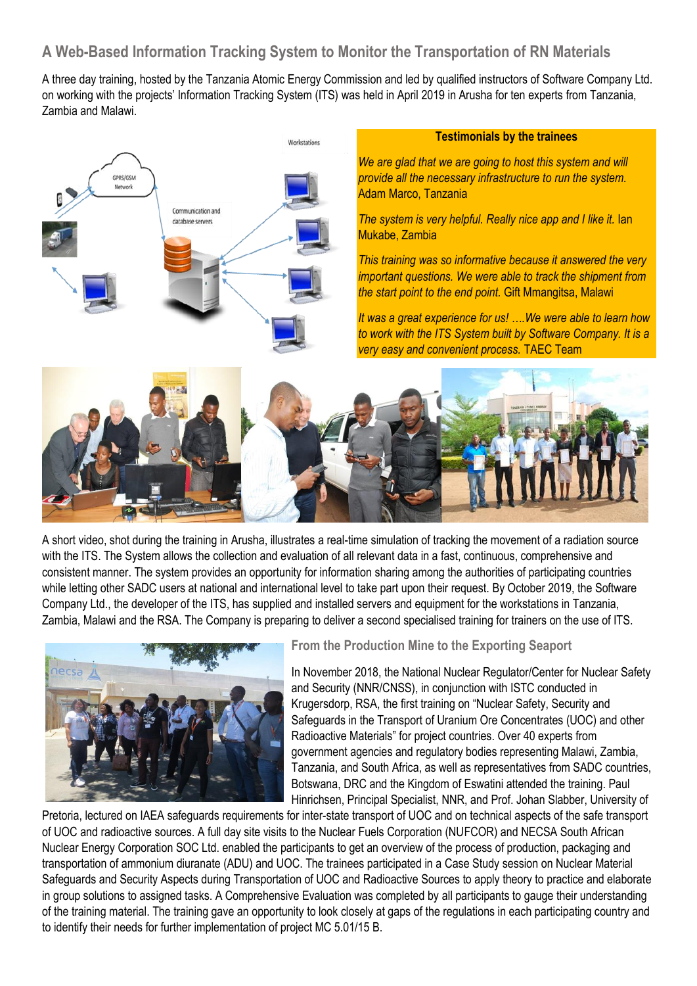## **A Web-Based Information Tracking System to Monitor the Transportation of RN Materials**

A three day training, hosted by the Tanzania Atomic Energy Commission and led by qualified instructors of Software Company Ltd. on working with the projects' Information Tracking System (ITS) was held in April 2019 in Arusha for ten experts from Tanzania, Zambia and Malawi.



#### **Testimonials by the trainees**

*We are glad that we are going to host this system and will provide all the necessary infrastructure to run the system.*  Adam Marco, Tanzania

*The system is very helpful. Really nice app and I like it.* Ian Mukabe, Zambia

*This training was so informative because it answered the very important questions. We were able to track the shipment from the start point to the end point.* Gift Mmangitsa, Malawi

*It was a great experience for us! ….We were able to learn how to work with the ITS System built by Software Company. It is a very easy and convenient process.* TAEC Team



A short video, shot during the training in Arusha, illustrates a real-time simulation of tracking the movement of a radiation source with the ITS. The System allows the collection and evaluation of all relevant data in a fast, continuous, comprehensive and consistent manner. The system provides an opportunity for information sharing among the authorities of participating countries while letting other SADC users at national and international level to take part upon their request. By October 2019, the Software Company Ltd., the developer of the ITS, has supplied and installed servers and equipment for the workstations in Tanzania, Zambia, Malawi and the RSA. The Company is preparing to deliver a second specialised training for trainers on the use of ITS.



#### **From the Production Mine to the Exporting Seaport**

In November 2018, the National Nuclear Regulator/Center for Nuclear Safety and Security (NNR/CNSS), in conjunction with ISTC conducted in Krugersdorp, RSA, the first training on "Nuclear Safety, Security and Safeguards in the Transport of Uranium Ore Concentrates (UOC) and other Radioactive Materials" for project countries. Over 40 experts from government agencies and regulatory bodies representing Malawi, Zambia, Tanzania, and South Africa, as well as representatives from SADC countries, Botswana, DRC and the Kingdom of Eswatini attended the training. Paul Hinrichsen, Principal Specialist, NNR, and Prof. Johan Slabber, University of

Pretoria, lectured on IAEA safeguards requirements for inter-state transport of UOC and on technical aspects of the safe transport of UOC and radioactive sources. A full day site visits to the Nuclear Fuels Corporation (NUFCOR) and NECSA South African Nuclear Energy Corporation SOC Ltd. enabled the participants to get an overview of the process of production, packaging and transportation of ammonium diuranate (ADU) and UOC. The trainees participated in a Case Study session on Nuclear Material Safeguards and Security Aspects during Transportation of UOC and Radioactive Sources to apply theory to practice and elaborate in group solutions to assigned tasks. A Comprehensive Evaluation was completed by all participants to gauge their understanding of the training material. The training gave an opportunity to look closely at gaps of the regulations in each participating country and to identify their needs for further implementation of project MC 5.01/15 B.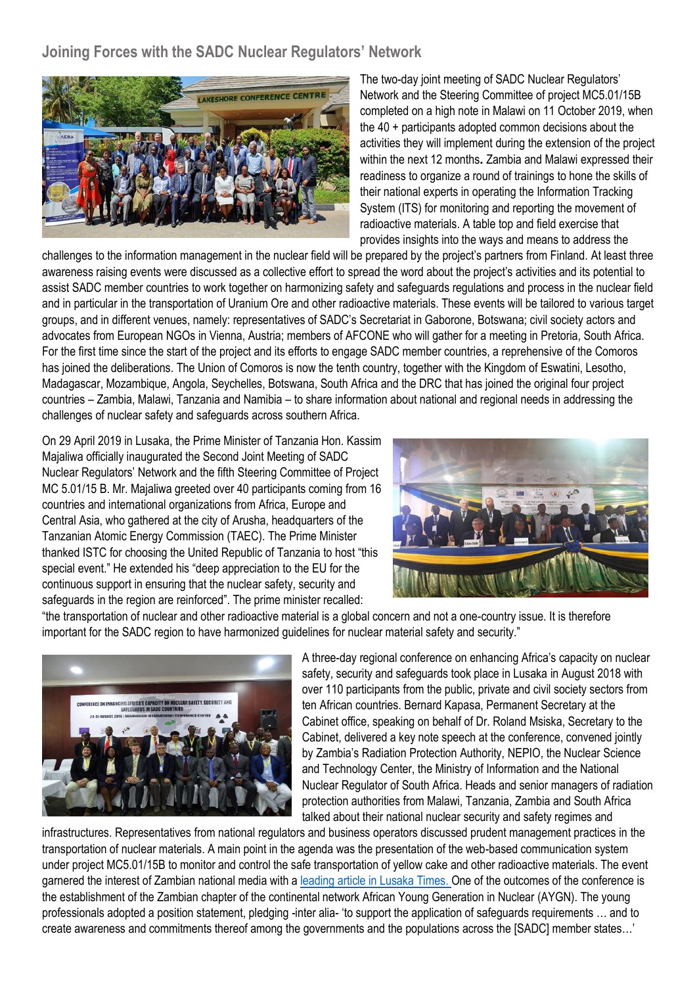### **Joining Forces with the SADC Nuclear Regulators' Network**



The two-day joint meeting of SADC Nuclear Regulators' Network and the Steering Committee of project MC5.01/15B completed on a high note in Malawi on 11 October 2019, when the 40 + participants adopted common decisions about the activities they will implement during the extension of the project within the next 12 months**.** Zambia and Malawi expressed their readiness to organize a round of trainings to hone the skills of their national experts in operating the Information Tracking System (ITS) for monitoring and reporting the movement of radioactive materials. A table top and field exercise that provides insights into the ways and means to address the

challenges to the information management in the nuclear field will be prepared by the project's partners from Finland. At least three awareness raising events were discussed as a collective effort to spread the word about the project's activities and its potential to assist SADC member countries to work together on harmonizing safety and safeguards regulations and process in the nuclear field and in particular in the transportation of Uranium Ore and other radioactive materials. These events will be tailored to various target groups, and in different venues, namely: representatives of SADC's Secretariat in Gaborone, Botswana; civil society actors and advocates from European NGOs in Vienna, Austria; members of AFCONE who will gather for a meeting in Pretoria, South Africa. For the first time since the start of the project and its efforts to engage SADC member countries, a reprehensive of the Comoros has joined the deliberations. The Union of Comoros is now the tenth country, together with the Kingdom of Eswatini, Lesotho, Madagascar, Mozambique, Angola, Seychelles, Botswana, South Africa and the DRC that has joined the original four project countries – Zambia, Malawi, Tanzania and Namibia – to share information about national and regional needs in addressing the challenges of nuclear safety and safeguards across southern Africa.

On 29 April 2019 in Lusaka, the Prime Minister of Tanzania Hon. Kassim Majaliwa officially inaugurated the Second Joint Meeting of SADC Nuclear Regulators' Network and the fifth Steering Committee of Project MC 5.01/15 B. Mr. Majaliwa greeted over 40 participants coming from 16 countries and international organizations from Africa, Europe and Central Asia, who gathered at the city of Arusha, headquarters of the Tanzanian Atomic Energy Commission (TAEC). The Prime Minister thanked ISTC for choosing the United Republic of Tanzania to host "this special event." He extended his "deep appreciation to the EU for the continuous support in ensuring that the nuclear safety, security and safeguards in the region are reinforced". The prime minister recalled:



"the transportation of nuclear and other radioactive material is a global concern and not a one-country issue. It is therefore important for the SADC region to have harmonized guidelines for nuclear material safety and security."



A three-day regional conference on enhancing Africa's capacity on nuclear safety, security and safeguards took place in Lusaka in August 2018 with over 110 participants from the public, private and civil society sectors from ten African countries. Bernard Kapasa, Permanent Secretary at the Cabinet office, speaking on behalf of Dr. Roland Msiska, Secretary to the Cabinet, delivered a key note speech at the conference, convened jointly by Zambia's Radiation Protection Authority, NEPIO, the Nuclear Science and Technology Center, the Ministry of Information and the National Nuclear Regulator of South Africa. Heads and senior managers of radiation protection authorities from Malawi, Tanzania, Zambia and South Africa talked about their national nuclear security and safety regimes and

infrastructures. Representatives from national regulators and business operators discussed prudent management practices in the transportation of nuclear materials. A main point in the agenda was the presentation of the web-based communication system under project MC5.01/15B to monitor and control the safe transportation of yellow cake and other radioactive materials. The event garnered the interest of Zambian national media with [a leading article in Lusaka Times. O](https://www.lusakatimes.com/2018/08/30/african-countries-should-invest-in-nuclear-energy-msiska/)ne of the outcomes of the conference is the establishment of the Zambian chapter of the continental network African Young Generation in Nuclear (AYGN). The young professionals adopted a position statement, pledging -inter alia- 'to support the application of safeguards requirements … and to create awareness and commitments thereof among the governments and the populations across the [SADC] member states…'